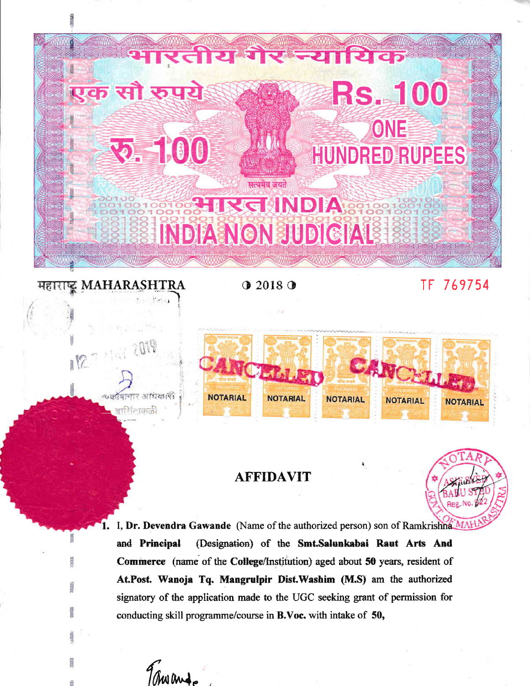

**MAHARASHTRA** 

व्यार आधिकारी

सार्शिताककी

XX.

 $Q$  2018 $Q$ 

TF 769754



## **AFFIDAVIT**



I, Dr. Devendra Gawande (Name of the authorized person) son of Ramkrishna MAH and Principal (Designation) of the Smt.Salunkabai Raut Arts And Commerce (name of the College/Institution) aged about 50 years, resident of At.Post. Wanoja Tq. Mangrulpir Dist.Washim (M.S) am the authorized signatory of the application made to the UGC seeking grant of permission for conducting skill programme/course in B.Voc. with intake of 50,

Tranas